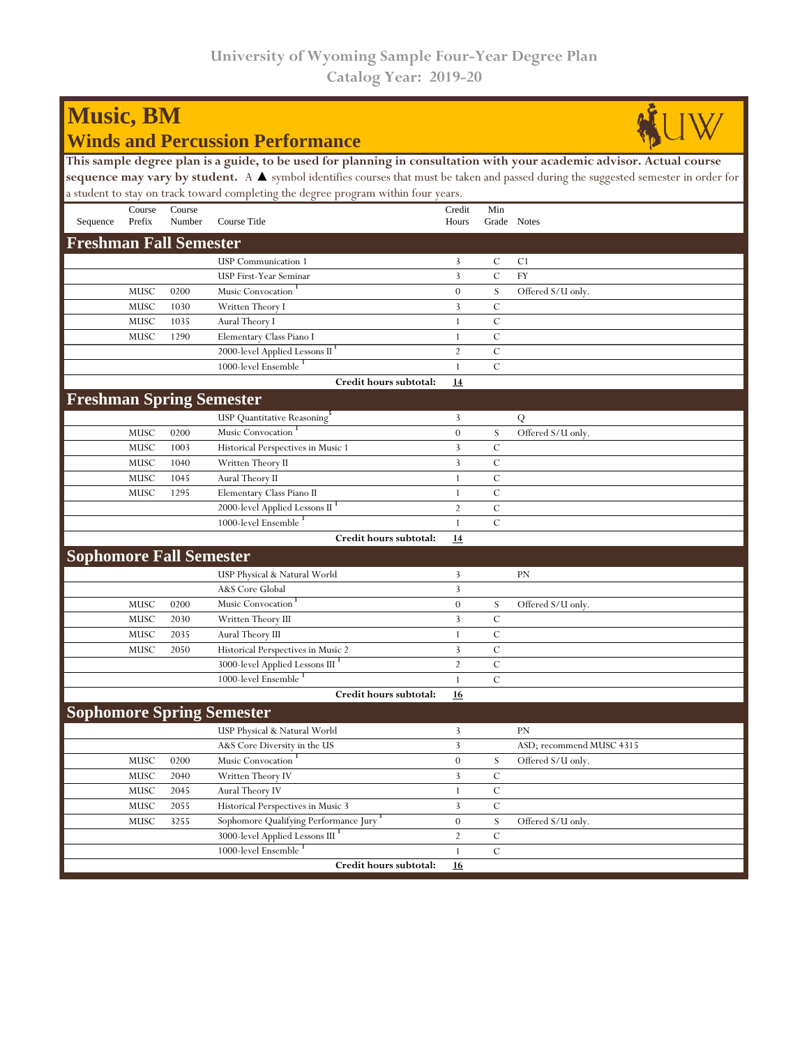| <b>Music, BM</b>                                                                                                                                    |        |        |                                                                                    |                  |               |                          |
|-----------------------------------------------------------------------------------------------------------------------------------------------------|--------|--------|------------------------------------------------------------------------------------|------------------|---------------|--------------------------|
| <b>Winds and Percussion Performance</b>                                                                                                             |        |        |                                                                                    |                  |               |                          |
| This sample degree plan is a guide, to be used for planning in consultation with your academic advisor. Actual course                               |        |        |                                                                                    |                  |               |                          |
| sequence may vary by student. A $\blacktriangle$ symbol identifies courses that must be taken and passed during the suggested semester in order for |        |        |                                                                                    |                  |               |                          |
|                                                                                                                                                     |        |        | a student to stay on track toward completing the degree program within four years. |                  |               |                          |
|                                                                                                                                                     | Course | Course |                                                                                    | Credit           | Min           |                          |
| Sequence                                                                                                                                            | Prefix | Number | Course Title                                                                       | Hours            |               | Grade Notes              |
| <b>Freshman Fall Semester</b>                                                                                                                       |        |        |                                                                                    |                  |               |                          |
|                                                                                                                                                     |        |        | <b>USP</b> Communication 1                                                         | 3                | С             | C <sub>1</sub>           |
|                                                                                                                                                     |        |        | <b>USP First-Year Seminar</b>                                                      | $\overline{3}$   | $\mathcal{C}$ | <b>FY</b>                |
|                                                                                                                                                     | MUSC   | 0200   | Music Convocation                                                                  | $\boldsymbol{0}$ | S             | Offered S/U only.        |
|                                                                                                                                                     | MUSC   | 1030   | Written Theory I                                                                   | 3                | C             |                          |
|                                                                                                                                                     | MUSC   | 1035   | Aural Theory I                                                                     | 1                | $\mathcal{C}$ |                          |
|                                                                                                                                                     | MUSC   | 1290   | Elementary Class Piano I                                                           | 1                | $\mathcal{C}$ |                          |
|                                                                                                                                                     |        |        | 2000-level Applied Lessons II <sup>1</sup>                                         | $\overline{2}$   | $\mathcal{C}$ |                          |
|                                                                                                                                                     |        |        | 1000-level Ensemble <sup>1</sup>                                                   | $\mathbf{1}$     | $\mathcal{C}$ |                          |
|                                                                                                                                                     |        |        | Credit hours subtotal:                                                             | 14               |               |                          |
|                                                                                                                                                     |        |        | <b>Freshman Spring Semester</b>                                                    |                  |               |                          |
|                                                                                                                                                     |        |        | USP Quantitative Reasoning <sup>5</sup>                                            | 3                |               | Q                        |
|                                                                                                                                                     | MUSC   | 0200   | Music Convocation                                                                  | $\overline{0}$   | S             | Offered S/U only.        |
|                                                                                                                                                     | MUSC   | 1003   | Historical Perspectives in Music 1                                                 | 3                | C             |                          |
|                                                                                                                                                     | MUSC   | 1040   | Written Theory II                                                                  | 3                | C             |                          |
|                                                                                                                                                     | MUSC   | 1045   | Aural Theory II                                                                    | 1                | C             |                          |
|                                                                                                                                                     | MUSC   | 1295   | Elementary Class Piano II                                                          | 1                | $\mathcal{C}$ |                          |
|                                                                                                                                                     |        |        | 2000-level Applied Lessons II <sup>1</sup>                                         | $\overline{2}$   | $\mathcal{C}$ |                          |
|                                                                                                                                                     |        |        | 1000-level Ensemble                                                                | $\mathbf{1}$     | $\mathcal{C}$ |                          |
|                                                                                                                                                     |        |        | Credit hours subtotal:                                                             | 14               |               |                          |
|                                                                                                                                                     |        |        |                                                                                    |                  |               |                          |
| <b>Sophomore Fall Semester</b>                                                                                                                      |        |        |                                                                                    |                  |               |                          |
|                                                                                                                                                     |        |        | USP Physical & Natural World                                                       | 3                |               | PN                       |
|                                                                                                                                                     |        |        | A&S Core Global                                                                    | 3                |               |                          |
|                                                                                                                                                     | MUSC   | 0200   | Music Convocation                                                                  | $\overline{0}$   | S             | Offered S/U only.        |
|                                                                                                                                                     | MUSC   | 2030   | Written Theory III                                                                 | 3                | C             |                          |
|                                                                                                                                                     | MUSC   | 2035   | Aural Theory III                                                                   | 1                | $\mathcal{C}$ |                          |
|                                                                                                                                                     | MUSC   | 2050   | Historical Perspectives in Music 2                                                 | 3                | $\mathbf C$   |                          |
|                                                                                                                                                     |        |        | 3000-level Applied Lessons III <sup>1</sup><br>1000-level Ensemble <sup>1</sup>    | $\overline{2}$   | $\mathbf C$   |                          |
|                                                                                                                                                     |        |        |                                                                                    | 1                | $\mathcal{C}$ |                          |
|                                                                                                                                                     |        |        | Credit hours subtotal:                                                             | 16               |               |                          |
|                                                                                                                                                     |        |        | <b>Sophomore Spring Semester</b>                                                   |                  |               |                          |
|                                                                                                                                                     |        |        | USP Physical & Natural World                                                       | 3                |               | PN                       |
|                                                                                                                                                     |        |        | A&S Core Diversity in the US                                                       | 3                |               | ASD; recommend MUSC 4315 |
|                                                                                                                                                     | MUSC   | 0200   | Music Convocation                                                                  | $\boldsymbol{0}$ | S             | Offered S/U only.        |
|                                                                                                                                                     | MUSC   | 2040   | Written Theory IV                                                                  | 3                | C             |                          |
|                                                                                                                                                     | MUSC   | 2045   | Aural Theory IV                                                                    | $\mathbf{1}$     | $\mathbf C$   |                          |
|                                                                                                                                                     | MUSC   | 2055   | Historical Perspectives in Music 3                                                 | 3                | $\mathbf C$   |                          |
|                                                                                                                                                     | MUSC   | 3255   | Sophomore Qualifying Performance Jury                                              | $\overline{0}$   | S             | Offered S/U only.        |
|                                                                                                                                                     |        |        | 3000-level Applied Lessons III                                                     | $\overline{2}$   | $\mathbf C$   |                          |
|                                                                                                                                                     |        |        | 1000-level Ensemble <sup>1</sup>                                                   | $\mathbf{1}$     | $\mathbf C$   |                          |
|                                                                                                                                                     |        |        | Credit hours subtotal:                                                             | 16               |               |                          |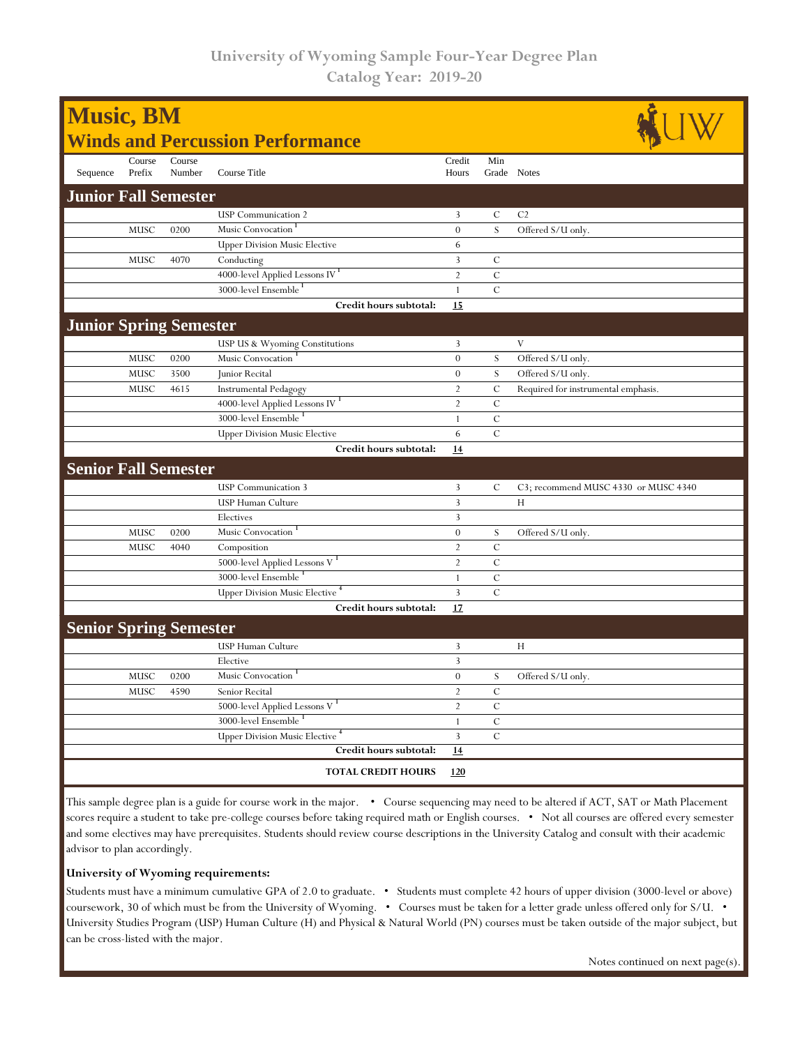| <b>Music, BM</b>                        |                  |                  |                                            |                 |                    |                                      |  |
|-----------------------------------------|------------------|------------------|--------------------------------------------|-----------------|--------------------|--------------------------------------|--|
| <b>Winds and Percussion Performance</b> |                  |                  |                                            |                 |                    |                                      |  |
| Sequence                                | Course<br>Prefix | Course<br>Number | Course Title                               | Credit<br>Hours | Min<br>Grade Notes |                                      |  |
| <b>Junior Fall Semester</b>             |                  |                  |                                            |                 |                    |                                      |  |
|                                         |                  |                  | <b>USP</b> Communication 2                 | 3               | $\mathcal{C}$      | C <sub>2</sub>                       |  |
|                                         | MUSC             | 0200             | Music Convocation <sup>1</sup>             | $\overline{0}$  | S                  | Offered S/U only.                    |  |
|                                         |                  |                  | <b>Upper Division Music Elective</b>       | 6               |                    |                                      |  |
|                                         | MUSC             | 4070             | Conducting                                 | 3               | $\mathcal{C}$      |                                      |  |
|                                         |                  |                  | 4000-level Applied Lessons IV <sup>1</sup> | $\overline{2}$  | $\mathcal{C}$      |                                      |  |
|                                         |                  |                  | 3000-level Ensemble                        | $\mathbf{1}$    | $\mathcal{C}$      |                                      |  |
|                                         |                  |                  | Credit hours subtotal:                     | 15              |                    |                                      |  |
| <b>Junior Spring Semester</b>           |                  |                  |                                            |                 |                    |                                      |  |
|                                         |                  |                  | USP US & Wyoming Constitutions             | 3               |                    | V                                    |  |
|                                         | MUSC             | 0200             | Music Convocation                          | $\mathbf{0}$    | S                  | Offered S/U only.                    |  |
|                                         | MUSC             | 3500             | Junior Recital                             | $\overline{0}$  | ${\bf S}$          | Offered S/U only.                    |  |
|                                         | MUSC             | 4615             | <b>Instrumental Pedagogy</b>               | $\sqrt{2}$      | $\mathcal{C}$      | Required for instrumental emphasis.  |  |
|                                         |                  |                  | 4000-level Applied Lessons IV <sup>1</sup> | $\overline{2}$  | $\mathcal{C}$      |                                      |  |
|                                         |                  |                  | 3000-level Ensemble                        | $\mathbf{1}$    | $\mathbf C$        |                                      |  |
|                                         |                  |                  | <b>Upper Division Music Elective</b>       | 6               | $\cal C$           |                                      |  |
|                                         |                  |                  | Credit hours subtotal:                     | 14              |                    |                                      |  |
| <b>Senior Fall Semester</b>             |                  |                  |                                            |                 |                    |                                      |  |
|                                         |                  |                  | <b>USP</b> Communication 3                 | 3               | C                  | C3; recommend MUSC 4330 or MUSC 4340 |  |
|                                         |                  |                  | USP Human Culture                          | 3               |                    | H                                    |  |
|                                         |                  |                  | Electives                                  | 3               |                    |                                      |  |
|                                         | MUSC             | 0200             | Music Convocation                          | $\theta$        | S                  | Offered S/U only.                    |  |
|                                         | MUSC             | 4040             | Composition                                | $\overline{2}$  | $\mathcal{C}$      |                                      |  |
|                                         |                  |                  | 5000-level Applied Lessons V <sup>1</sup>  | $\overline{2}$  | $\mathcal{C}$      |                                      |  |
|                                         |                  |                  | 3000-level Ensemble                        | $\mathbf{1}$    | $\mathcal{C}$      |                                      |  |
|                                         |                  |                  | Upper Division Music Elective <sup>4</sup> | $\overline{3}$  | $\mathcal{C}$      |                                      |  |
|                                         |                  |                  | Credit hours subtotal:                     | 17              |                    |                                      |  |
| <b>Senior Spring Semester</b>           |                  |                  |                                            |                 |                    |                                      |  |
|                                         |                  |                  | USP Human Culture                          | 3               |                    | H                                    |  |
|                                         |                  |                  | Elective                                   | $\overline{3}$  |                    |                                      |  |
|                                         | MUSC             | 0200             | Music Convocation <sup>1</sup>             | $\theta$        | S                  | Offered S/U only.                    |  |
|                                         | MUSC             | 4590             | Senior Recital                             | $\overline{2}$  | $\mathbf C$        |                                      |  |
|                                         |                  |                  | 5000-level Applied Lessons V <sup>1</sup>  | $\overline{2}$  | $\mathbf C$        |                                      |  |
|                                         |                  |                  | 3000-level Ensemble <sup>1</sup>           | $\mathbf{1}$    | $\overline{C}$     |                                      |  |
|                                         |                  |                  | <b>Upper Division Music Elective</b>       | 3               | $\mathcal{C}$      |                                      |  |
|                                         |                  |                  | Credit hours subtotal:                     | 14              |                    |                                      |  |
|                                         |                  |                  | <b>TOTAL CREDIT HOURS</b>                  | 120             |                    |                                      |  |

This sample degree plan is a guide for course work in the major. • Course sequencing may need to be altered if ACT, SAT or Math Placement scores require a student to take pre-college courses before taking required math or English courses. • Not all courses are offered every semester and some electives may have prerequisites. Students should review course descriptions in the University Catalog and consult with their academic advisor to plan accordingly.

## **University of Wyoming requirements:**

Students must have a minimum cumulative GPA of 2.0 to graduate. • Students must complete 42 hours of upper division (3000-level or above) coursework, 30 of which must be from the University of Wyoming. • Courses must be taken for a letter grade unless offered only for S/U. • University Studies Program (USP) Human Culture (H) and Physical & Natural World (PN) courses must be taken outside of the major subject, but can be cross-listed with the major.